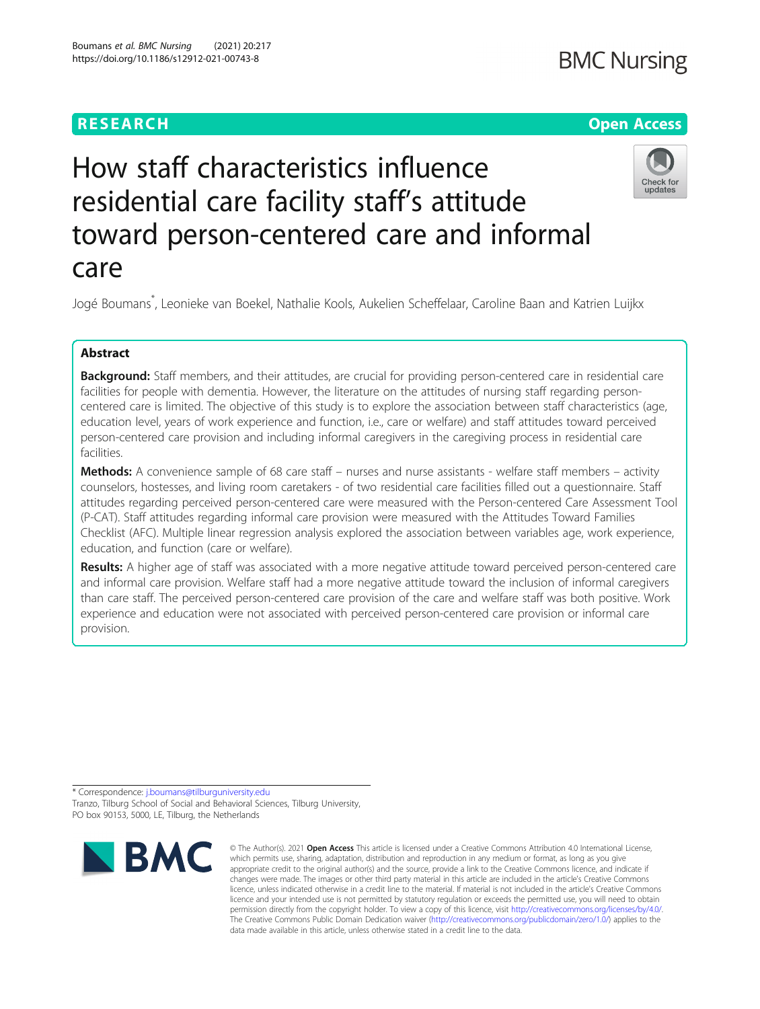## **RESEARCH CHEAR CHEAR CHEAR CHEAR CHEAR CHEAP CONTROL**

Check for updates

# How staff characteristics influence residential care facility staff's attitude toward person-centered care and informal care

Jogé Boumans\* , Leonieke van Boekel, Nathalie Kools, Aukelien Scheffelaar, Caroline Baan and Katrien Luijkx

### Abstract

Background: Staff members, and their attitudes, are crucial for providing person-centered care in residential care facilities for people with dementia. However, the literature on the attitudes of nursing staff regarding personcentered care is limited. The objective of this study is to explore the association between staff characteristics (age, education level, years of work experience and function, i.e., care or welfare) and staff attitudes toward perceived person-centered care provision and including informal caregivers in the caregiving process in residential care facilities.

Methods: A convenience sample of 68 care staff – nurses and nurse assistants - welfare staff members – activity counselors, hostesses, and living room caretakers - of two residential care facilities filled out a questionnaire. Staff attitudes regarding perceived person-centered care were measured with the Person-centered Care Assessment Tool (P-CAT). Staff attitudes regarding informal care provision were measured with the Attitudes Toward Families Checklist (AFC). Multiple linear regression analysis explored the association between variables age, work experience, education, and function (care or welfare).

Results: A higher age of staff was associated with a more negative attitude toward perceived person-centered care and informal care provision. Welfare staff had a more negative attitude toward the inclusion of informal caregivers than care staff. The perceived person-centered care provision of the care and welfare staff was both positive. Work experience and education were not associated with perceived person-centered care provision or informal care provision.

\* Correspondence: [j.boumans@tilburguniversity.edu](mailto:j.boumans@tilburguniversity.edu)

Tranzo, Tilburg School of Social and Behavioral Sciences, Tilburg University, PO box 90153, 5000, LE, Tilburg, the Netherlands



<sup>©</sup> The Author(s). 2021 Open Access This article is licensed under a Creative Commons Attribution 4.0 International License, which permits use, sharing, adaptation, distribution and reproduction in any medium or format, as long as you give appropriate credit to the original author(s) and the source, provide a link to the Creative Commons licence, and indicate if changes were made. The images or other third party material in this article are included in the article's Creative Commons licence, unless indicated otherwise in a credit line to the material. If material is not included in the article's Creative Commons licence and your intended use is not permitted by statutory regulation or exceeds the permitted use, you will need to obtain permission directly from the copyright holder. To view a copy of this licence, visit [http://creativecommons.org/licenses/by/4.0/.](http://creativecommons.org/licenses/by/4.0/) The Creative Commons Public Domain Dedication waiver [\(http://creativecommons.org/publicdomain/zero/1.0/](http://creativecommons.org/publicdomain/zero/1.0/)) applies to the data made available in this article, unless otherwise stated in a credit line to the data.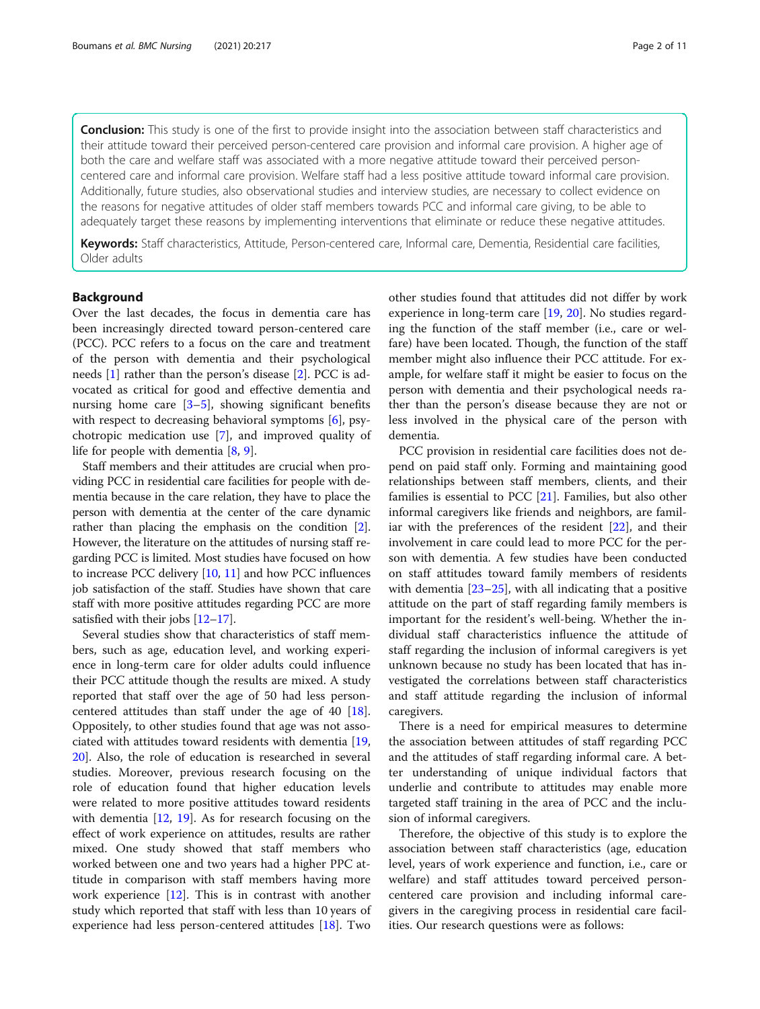**Conclusion:** This study is one of the first to provide insight into the association between staff characteristics and their attitude toward their perceived person-centered care provision and informal care provision. A higher age of both the care and welfare staff was associated with a more negative attitude toward their perceived personcentered care and informal care provision. Welfare staff had a less positive attitude toward informal care provision. Additionally, future studies, also observational studies and interview studies, are necessary to collect evidence on the reasons for negative attitudes of older staff members towards PCC and informal care giving, to be able to adequately target these reasons by implementing interventions that eliminate or reduce these negative attitudes.

Keywords: Staff characteristics, Attitude, Person-centered care, Informal care, Dementia, Residential care facilities, Older adults

#### Background

Over the last decades, the focus in dementia care has been increasingly directed toward person-centered care (PCC). PCC refers to a focus on the care and treatment of the person with dementia and their psychological needs [\[1\]](#page-9-0) rather than the person's disease [[2\]](#page-9-0). PCC is advocated as critical for good and effective dementia and nursing home care  $[3-5]$  $[3-5]$  $[3-5]$  $[3-5]$ , showing significant benefits with respect to decreasing behavioral symptoms [\[6](#page-9-0)], psychotropic medication use [[7\]](#page-9-0), and improved quality of life for people with dementia [\[8](#page-9-0), [9](#page-9-0)].

Staff members and their attitudes are crucial when providing PCC in residential care facilities for people with dementia because in the care relation, they have to place the person with dementia at the center of the care dynamic rather than placing the emphasis on the condition [[2](#page-9-0)]. However, the literature on the attitudes of nursing staff regarding PCC is limited. Most studies have focused on how to increase PCC delivery  $[10, 11]$  $[10, 11]$  $[10, 11]$  $[10, 11]$  and how PCC influences job satisfaction of the staff. Studies have shown that care staff with more positive attitudes regarding PCC are more satisfied with their jobs [[12](#page-9-0)–[17\]](#page-9-0).

Several studies show that characteristics of staff members, such as age, education level, and working experience in long-term care for older adults could influence their PCC attitude though the results are mixed. A study reported that staff over the age of 50 had less personcentered attitudes than staff under the age of 40 [\[18](#page-9-0)]. Oppositely, to other studies found that age was not associated with attitudes toward residents with dementia [[19](#page-9-0), [20\]](#page-9-0). Also, the role of education is researched in several studies. Moreover, previous research focusing on the role of education found that higher education levels were related to more positive attitudes toward residents with dementia [\[12,](#page-9-0) [19\]](#page-9-0). As for research focusing on the effect of work experience on attitudes, results are rather mixed. One study showed that staff members who worked between one and two years had a higher PPC attitude in comparison with staff members having more work experience [\[12\]](#page-9-0). This is in contrast with another study which reported that staff with less than 10 years of experience had less person-centered attitudes [\[18\]](#page-9-0). Two other studies found that attitudes did not differ by work experience in long-term care [\[19,](#page-9-0) [20\]](#page-9-0). No studies regarding the function of the staff member (i.e., care or welfare) have been located. Though, the function of the staff member might also influence their PCC attitude. For example, for welfare staff it might be easier to focus on the person with dementia and their psychological needs rather than the person's disease because they are not or less involved in the physical care of the person with dementia.

PCC provision in residential care facilities does not depend on paid staff only. Forming and maintaining good relationships between staff members, clients, and their families is essential to PCC [\[21](#page-9-0)]. Families, but also other informal caregivers like friends and neighbors, are familiar with the preferences of the resident [\[22](#page-9-0)], and their involvement in care could lead to more PCC for the person with dementia. A few studies have been conducted on staff attitudes toward family members of residents with dementia [[23](#page-9-0)–[25](#page-9-0)], with all indicating that a positive attitude on the part of staff regarding family members is important for the resident's well-being. Whether the individual staff characteristics influence the attitude of staff regarding the inclusion of informal caregivers is yet unknown because no study has been located that has investigated the correlations between staff characteristics and staff attitude regarding the inclusion of informal caregivers.

There is a need for empirical measures to determine the association between attitudes of staff regarding PCC and the attitudes of staff regarding informal care. A better understanding of unique individual factors that underlie and contribute to attitudes may enable more targeted staff training in the area of PCC and the inclusion of informal caregivers.

Therefore, the objective of this study is to explore the association between staff characteristics (age, education level, years of work experience and function, i.e., care or welfare) and staff attitudes toward perceived personcentered care provision and including informal caregivers in the caregiving process in residential care facilities. Our research questions were as follows: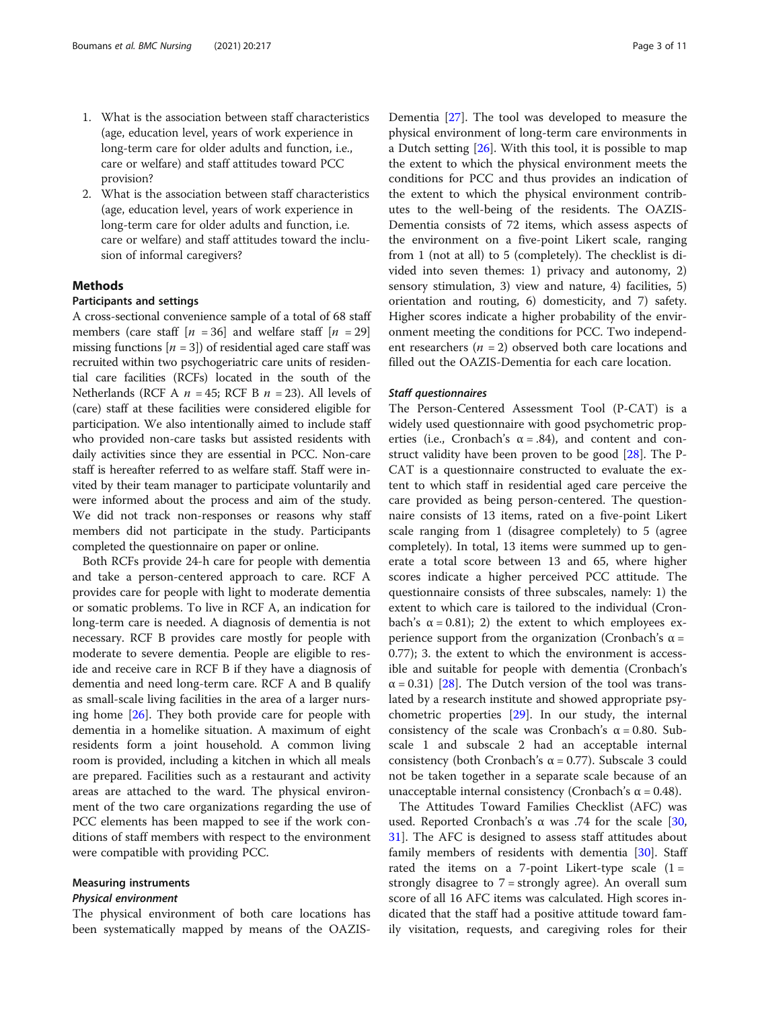- 1. What is the association between staff characteristics (age, education level, years of work experience in long-term care for older adults and function, i.e., care or welfare) and staff attitudes toward PCC provision?
- 2. What is the association between staff characteristics (age, education level, years of work experience in long-term care for older adults and function, i.e. care or welfare) and staff attitudes toward the inclusion of informal caregivers?

#### Methods

#### Participants and settings

A cross-sectional convenience sample of a total of 68 staff members (care staff  $[n = 36]$  and welfare staff  $[n = 29]$ missing functions  $[n = 3]$ ) of residential aged care staff was recruited within two psychogeriatric care units of residential care facilities (RCFs) located in the south of the Netherlands (RCF A  $n = 45$ ; RCF B  $n = 23$ ). All levels of (care) staff at these facilities were considered eligible for participation. We also intentionally aimed to include staff who provided non-care tasks but assisted residents with daily activities since they are essential in PCC. Non-care staff is hereafter referred to as welfare staff. Staff were invited by their team manager to participate voluntarily and were informed about the process and aim of the study. We did not track non-responses or reasons why staff members did not participate in the study. Participants completed the questionnaire on paper or online.

Both RCFs provide 24-h care for people with dementia and take a person-centered approach to care. RCF A provides care for people with light to moderate dementia or somatic problems. To live in RCF A, an indication for long-term care is needed. A diagnosis of dementia is not necessary. RCF B provides care mostly for people with moderate to severe dementia. People are eligible to reside and receive care in RCF B if they have a diagnosis of dementia and need long-term care. RCF A and B qualify as small-scale living facilities in the area of a larger nursing home [[26](#page-10-0)]. They both provide care for people with dementia in a homelike situation. A maximum of eight residents form a joint household. A common living room is provided, including a kitchen in which all meals are prepared. Facilities such as a restaurant and activity areas are attached to the ward. The physical environment of the two care organizations regarding the use of PCC elements has been mapped to see if the work conditions of staff members with respect to the environment were compatible with providing PCC.

#### Measuring instruments

#### Physical environment

The physical environment of both care locations has been systematically mapped by means of the OAZIS-

Dementia [[27](#page-10-0)]. The tool was developed to measure the physical environment of long-term care environments in a Dutch setting [\[26\]](#page-10-0). With this tool, it is possible to map the extent to which the physical environment meets the conditions for PCC and thus provides an indication of the extent to which the physical environment contributes to the well-being of the residents. The OAZIS-Dementia consists of 72 items, which assess aspects of the environment on a five-point Likert scale, ranging from 1 (not at all) to 5 (completely). The checklist is divided into seven themes: 1) privacy and autonomy, 2) sensory stimulation, 3) view and nature, 4) facilities, 5) orientation and routing, 6) domesticity, and 7) safety. Higher scores indicate a higher probability of the environment meeting the conditions for PCC. Two independent researchers ( $n = 2$ ) observed both care locations and filled out the OAZIS-Dementia for each care location.

#### Staff questionnaires

The Person-Centered Assessment Tool (P-CAT) is a widely used questionnaire with good psychometric properties (i.e., Cronbach's  $\alpha = .84$ ), and content and construct validity have been proven to be good [\[28](#page-10-0)]. The P-CAT is a questionnaire constructed to evaluate the extent to which staff in residential aged care perceive the care provided as being person-centered. The questionnaire consists of 13 items, rated on a five-point Likert scale ranging from 1 (disagree completely) to 5 (agree completely). In total, 13 items were summed up to generate a total score between 13 and 65, where higher scores indicate a higher perceived PCC attitude. The questionnaire consists of three subscales, namely: 1) the extent to which care is tailored to the individual (Cronbach's  $\alpha$  = 0.81); 2) the extent to which employees experience support from the organization (Cronbach's  $\alpha$  = 0.77); 3. the extent to which the environment is accessible and suitable for people with dementia (Cronbach's  $\alpha$  = 0.31) [[28](#page-10-0)]. The Dutch version of the tool was translated by a research institute and showed appropriate psychometric properties [\[29](#page-10-0)]. In our study, the internal consistency of the scale was Cronbach's  $\alpha = 0.80$ . Subscale 1 and subscale 2 had an acceptable internal consistency (both Cronbach's α = 0.77). Subscale 3 could not be taken together in a separate scale because of an unacceptable internal consistency (Cronbach's α = 0.48).

The Attitudes Toward Families Checklist (AFC) was used. Reported Cronbach's α was .74 for the scale [[30](#page-10-0), [31\]](#page-10-0). The AFC is designed to assess staff attitudes about family members of residents with dementia [\[30](#page-10-0)]. Staff rated the items on a 7-point Likert-type scale  $(1 =$ strongly disagree to 7 = strongly agree). An overall sum score of all 16 AFC items was calculated. High scores indicated that the staff had a positive attitude toward family visitation, requests, and caregiving roles for their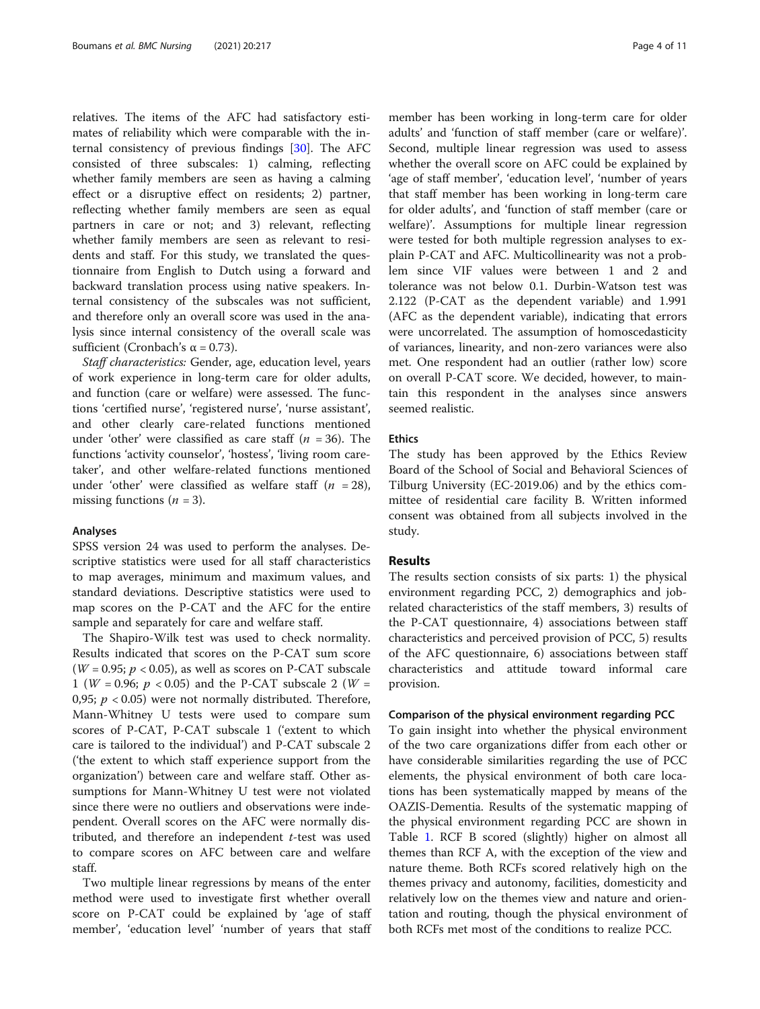relatives. The items of the AFC had satisfactory estimates of reliability which were comparable with the internal consistency of previous findings [\[30](#page-10-0)]. The AFC consisted of three subscales: 1) calming, reflecting whether family members are seen as having a calming effect or a disruptive effect on residents; 2) partner, reflecting whether family members are seen as equal partners in care or not; and 3) relevant, reflecting whether family members are seen as relevant to residents and staff. For this study, we translated the questionnaire from English to Dutch using a forward and backward translation process using native speakers. Internal consistency of the subscales was not sufficient, and therefore only an overall score was used in the analysis since internal consistency of the overall scale was sufficient (Cronbach's  $\alpha$  = 0.73).

Staff characteristics: Gender, age, education level, years of work experience in long-term care for older adults, and function (care or welfare) were assessed. The functions 'certified nurse', 'registered nurse', 'nurse assistant', and other clearly care-related functions mentioned under 'other' were classified as care staff ( $n = 36$ ). The functions 'activity counselor', 'hostess', 'living room caretaker', and other welfare-related functions mentioned under 'other' were classified as welfare staff  $(n = 28)$ , missing functions  $(n = 3)$ .

#### Analyses

SPSS version 24 was used to perform the analyses. Descriptive statistics were used for all staff characteristics to map averages, minimum and maximum values, and standard deviations. Descriptive statistics were used to map scores on the P-CAT and the AFC for the entire sample and separately for care and welfare staff.

The Shapiro-Wilk test was used to check normality. Results indicated that scores on the P-CAT sum score ( $W = 0.95$ ;  $p < 0.05$ ), as well as scores on P-CAT subscale 1 (*W* = 0.96;  $p < 0.05$ ) and the P-CAT subscale 2 (*W* = 0,95;  $p < 0.05$ ) were not normally distributed. Therefore, Mann-Whitney U tests were used to compare sum scores of P-CAT, P-CAT subscale 1 ('extent to which care is tailored to the individual') and P-CAT subscale 2 ('the extent to which staff experience support from the organization') between care and welfare staff. Other assumptions for Mann-Whitney U test were not violated since there were no outliers and observations were independent. Overall scores on the AFC were normally distributed, and therefore an independent  $t$ -test was used to compare scores on AFC between care and welfare staff.

Two multiple linear regressions by means of the enter method were used to investigate first whether overall score on P-CAT could be explained by 'age of staff member', 'education level' 'number of years that staff

member has been working in long-term care for older adults' and 'function of staff member (care or welfare)'. Second, multiple linear regression was used to assess whether the overall score on AFC could be explained by 'age of staff member', 'education level', 'number of years that staff member has been working in long-term care for older adults', and 'function of staff member (care or welfare)'. Assumptions for multiple linear regression were tested for both multiple regression analyses to explain P-CAT and AFC. Multicollinearity was not a problem since VIF values were between 1 and 2 and tolerance was not below 0.1. Durbin-Watson test was 2.122 (P-CAT as the dependent variable) and 1.991 (AFC as the dependent variable), indicating that errors were uncorrelated. The assumption of homoscedasticity of variances, linearity, and non-zero variances were also met. One respondent had an outlier (rather low) score on overall P-CAT score. We decided, however, to maintain this respondent in the analyses since answers seemed realistic.

#### **Ethics**

The study has been approved by the Ethics Review Board of the School of Social and Behavioral Sciences of Tilburg University (EC-2019.06) and by the ethics committee of residential care facility B. Written informed consent was obtained from all subjects involved in the study.

#### Results

The results section consists of six parts: 1) the physical environment regarding PCC, 2) demographics and jobrelated characteristics of the staff members, 3) results of the P-CAT questionnaire, 4) associations between staff characteristics and perceived provision of PCC, 5) results of the AFC questionnaire, 6) associations between staff characteristics and attitude toward informal care provision.

#### Comparison of the physical environment regarding PCC

To gain insight into whether the physical environment of the two care organizations differ from each other or have considerable similarities regarding the use of PCC elements, the physical environment of both care locations has been systematically mapped by means of the OAZIS-Dementia. Results of the systematic mapping of the physical environment regarding PCC are shown in Table [1.](#page-4-0) RCF B scored (slightly) higher on almost all themes than RCF A, with the exception of the view and nature theme. Both RCFs scored relatively high on the themes privacy and autonomy, facilities, domesticity and relatively low on the themes view and nature and orientation and routing, though the physical environment of both RCFs met most of the conditions to realize PCC.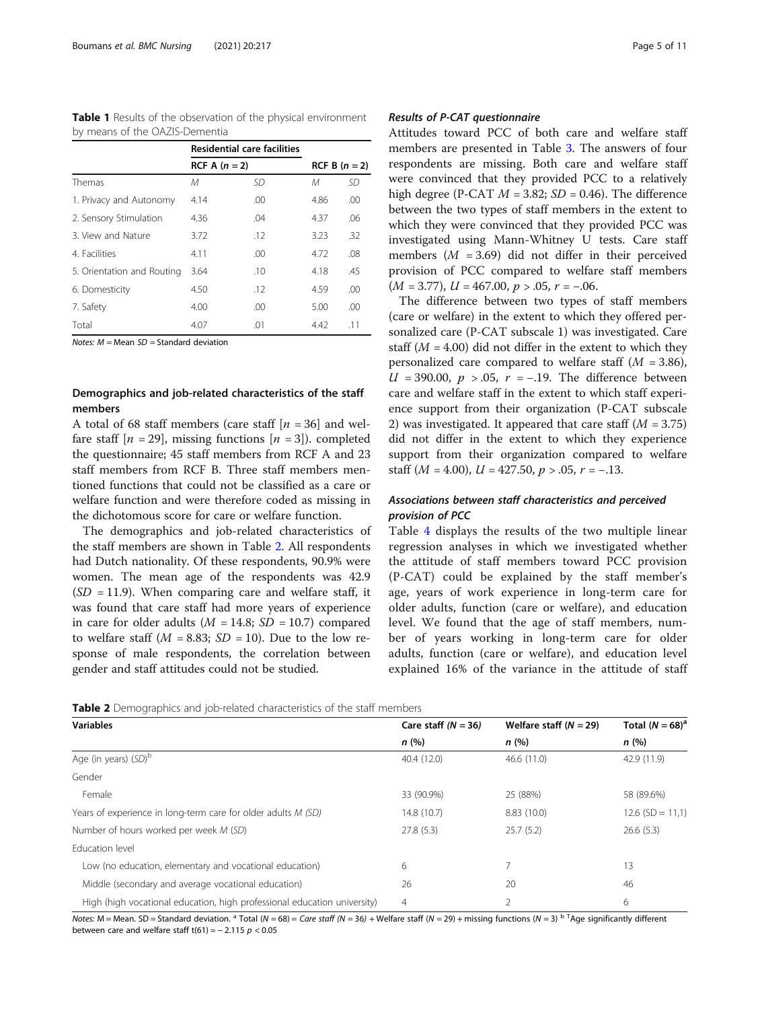<span id="page-4-0"></span>Table 1 Results of the observation of the physical environment by means of the OAZIS-Dementia

|                            |                 | <b>Residential care facilities</b> |                 |      |
|----------------------------|-----------------|------------------------------------|-----------------|------|
|                            | RCF A $(n = 2)$ |                                    | $RCF B (n = 2)$ |      |
| Themas                     | М               | SD                                 | M               | SD   |
| 1. Privacy and Autonomy    | 4.14            | .00.                               | 4.86            | .00. |
| 2. Sensory Stimulation     | 4.36            | .04                                | 4.37            | .06  |
| 3. View and Nature         | 3.72            | .12                                | 3.23            | .32  |
| 4. Facilities              | 4.11            | .00                                | 4.72            | .08  |
| 5. Orientation and Routing | 3.64            | .10                                | 4.18            | .45  |
| 6. Domesticity             | 4.50            | .12                                | 4.59            | .00. |
| 7. Safety                  | 4.00            | .00                                | 5.00            | .00  |
| Total                      | 4.07            | .01                                | 4.42            | .11  |

Notes:  $M =$  Mean  $SD =$  Standard deviation

#### Demographics and job-related characteristics of the staff members

A total of 68 staff members (care staff  $[n = 36]$  and welfare staff  $[n = 29]$ , missing functions  $[n = 3]$ ). completed the questionnaire; 45 staff members from RCF A and 23 staff members from RCF B. Three staff members mentioned functions that could not be classified as a care or welfare function and were therefore coded as missing in the dichotomous score for care or welfare function.

The demographics and job-related characteristics of the staff members are shown in Table 2. All respondents had Dutch nationality. Of these respondents, 90.9% were women. The mean age of the respondents was 42.9  $(SD = 11.9)$ . When comparing care and welfare staff, it was found that care staff had more years of experience in care for older adults ( $M = 14.8$ ;  $SD = 10.7$ ) compared to welfare staff  $(M = 8.83; SD = 10)$ . Due to the low response of male respondents, the correlation between gender and staff attitudes could not be studied.

#### Results of P-CAT questionnaire

Attitudes toward PCC of both care and welfare staff members are presented in Table [3](#page-5-0). The answers of four respondents are missing. Both care and welfare staff were convinced that they provided PCC to a relatively high degree (P-CAT  $M = 3.82$ ;  $SD = 0.46$ ). The difference between the two types of staff members in the extent to which they were convinced that they provided PCC was investigated using Mann-Whitney U tests. Care staff members  $(M = 3.69)$  did not differ in their perceived provision of PCC compared to welfare staff members  $(M = 3.77), U = 467.00, p > .05, r = -.06.$ 

The difference between two types of staff members (care or welfare) in the extent to which they offered personalized care (P-CAT subscale 1) was investigated. Care staff  $(M = 4.00)$  did not differ in the extent to which they personalized care compared to welfare staff  $(M = 3.86)$ ,  $U = 390.00, p > 0.05, r = -.19$ . The difference between care and welfare staff in the extent to which staff experience support from their organization (P-CAT subscale 2) was investigated. It appeared that care staff  $(M = 3.75)$ did not differ in the extent to which they experience support from their organization compared to welfare staff ( $M = 4.00$ ),  $U = 427.50$ ,  $p > .05$ ,  $r = -.13$ .

#### Associations between staff characteristics and perceived provision of PCC

Table [4](#page-6-0) displays the results of the two multiple linear regression analyses in which we investigated whether the attitude of staff members toward PCC provision (P-CAT) could be explained by the staff member's age, years of work experience in long-term care for older adults, function (care or welfare), and education level. We found that the age of staff members, number of years working in long-term care for older adults, function (care or welfare), and education level explained 16% of the variance in the attitude of staff

| Table 2 Demographics and job-related characteristics of the staff members |  |  |
|---------------------------------------------------------------------------|--|--|
|                                                                           |  |  |

| <b>Variables</b>                                                         | Care staff $(N = 36)$ | Welfare staff $(N = 29)$ | Total $(N = 68)^a$ |  |
|--------------------------------------------------------------------------|-----------------------|--------------------------|--------------------|--|
|                                                                          | n(%)                  | n(%)                     | n(%)               |  |
| Age (in years) $(SD)^D$                                                  | 40.4 (12.0)           | 46.6 (11.0)              | 42.9 (11.9)        |  |
| Gender                                                                   |                       |                          |                    |  |
| Female                                                                   | 33 (90.9%)            | 25 (88%)                 | 58 (89.6%)         |  |
| Years of experience in long-term care for older adults M (SD)            | 14.8 (10.7)           | 8.83(10.0)               | $12.6$ (SD = 11,1) |  |
| Number of hours worked per week M (SD)                                   | 27.8(5.3)             | 25.7(5.2)                | 26.6(5.3)          |  |
| Education level                                                          |                       |                          |                    |  |
| Low (no education, elementary and vocational education)                  | 6                     |                          | 13                 |  |
| Middle (secondary and average vocational education)                      | 26                    | 20                       | 46                 |  |
| High (high vocational education, high professional education university) | $\overline{4}$        |                          | 6                  |  |

Notes: M = Mean. SD = Standard deviation.<sup>3</sup> Total (N = 68) = Care staff (N = 36) + Welfare staff (N = 29) + missing functions (N = 3) <sup>b T</sup>Age significantly different between care and welfare staff t(61) =  $-$  2.115  $p$  < 0.05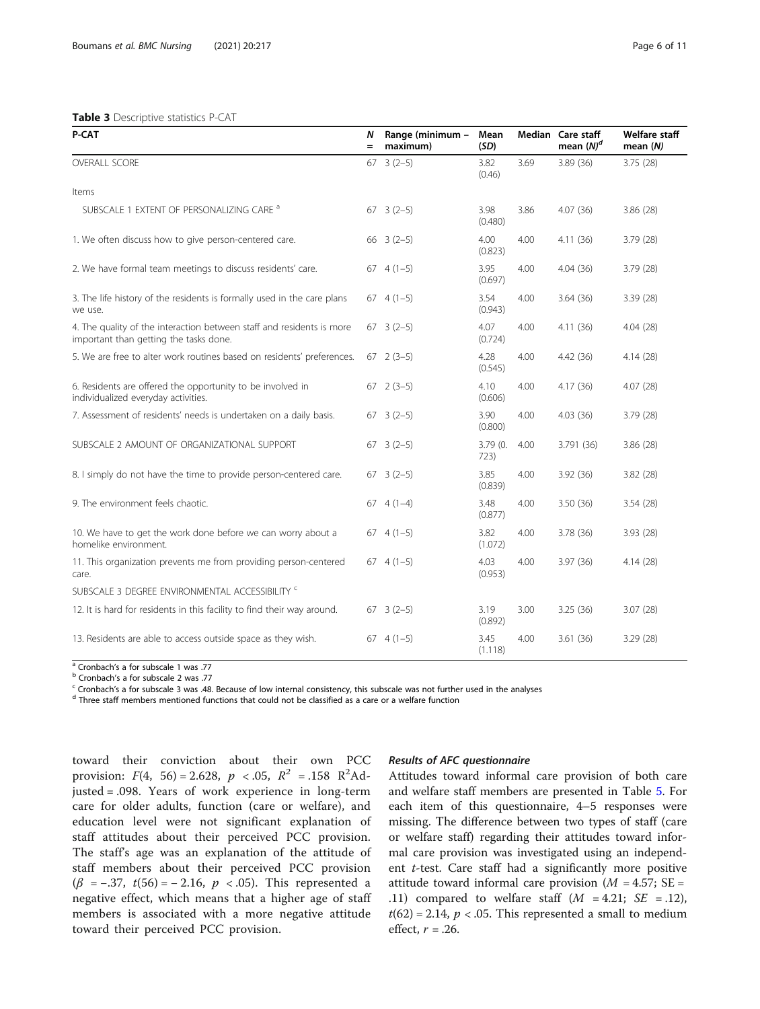#### <span id="page-5-0"></span>Table 3 Descriptive statistics P-CAT

| <b>P-CAT</b>                                                                                                    | Ν<br>$=$ | Range (minimum -<br>maximum) | Mean<br>(SD)    |      | Median Care staff<br>mean $(N)^d$ | <b>Welfare staff</b><br>mean $(N)$ |
|-----------------------------------------------------------------------------------------------------------------|----------|------------------------------|-----------------|------|-----------------------------------|------------------------------------|
| <b>OVERALL SCORE</b>                                                                                            |          | $67$ 3 $(2-5)$               | 3.82<br>(0.46)  | 3.69 | 3.89(36)                          | 3.75 (28)                          |
| Items                                                                                                           |          |                              |                 |      |                                   |                                    |
| SUBSCALE 1 EXTENT OF PERSONALIZING CARE <sup>a</sup>                                                            |          | $67 \quad 3(2-5)$            | 3.98<br>(0.480) | 3.86 | 4.07(36)                          | 3.86(28)                           |
| 1. We often discuss how to give person-centered care.                                                           |          | $66 \quad 3(2-5)$            | 4.00<br>(0.823) | 4.00 | 4.11(36)                          | 3.79(28)                           |
| 2. We have formal team meetings to discuss residents' care.                                                     |          | $67 \quad 4 \quad (1-5)$     | 3.95<br>(0.697) | 4.00 | 4.04(36)                          | 3.79(28)                           |
| 3. The life history of the residents is formally used in the care plans<br>we use.                              |          | $67 \quad 4 \quad (1-5)$     | 3.54<br>(0.943) | 4.00 | 3.64(36)                          | 3.39(28)                           |
| 4. The quality of the interaction between staff and residents is more<br>important than getting the tasks done. |          | $67 \quad 3(2-5)$            | 4.07<br>(0.724) | 4.00 | 4.11(36)                          | 4.04(28)                           |
| 5. We are free to alter work routines based on residents' preferences.                                          |          | $67$ 2 $(3-5)$               | 4.28<br>(0.545) | 4.00 | 4.42(36)                          | 4.14(28)                           |
| 6. Residents are offered the opportunity to be involved in<br>individualized everyday activities.               |          | $67$ 2 $(3-5)$               | 4.10<br>(0.606) | 4.00 | 4.17(36)                          | 4.07(28)                           |
| 7. Assessment of residents' needs is undertaken on a daily basis.                                               |          | $67$ 3 $(2-5)$               | 3.90<br>(0.800) | 4.00 | 4.03(36)                          | 3.79(28)                           |
| SUBSCALE 2 AMOUNT OF ORGANIZATIONAL SUPPORT                                                                     |          | $67 \quad 3(2-5)$            | 3.79(0.<br>723) | 4.00 | 3.791 (36)                        | 3.86 (28)                          |
| 8. I simply do not have the time to provide person-centered care.                                               |          | $67 \quad 3(2-5)$            | 3.85<br>(0.839) | 4.00 | 3.92(36)                          | 3.82(28)                           |
| 9. The environment feels chaotic.                                                                               |          | $67 \quad 4 \quad (1-4)$     | 3.48<br>(0.877) | 4.00 | 3.50(36)                          | 3.54(28)                           |
| 10. We have to get the work done before we can worry about a<br>homelike environment.                           |          | $67 \quad 4 \quad (1-5)$     | 3.82<br>(1.072) | 4.00 | 3.78(36)                          | 3.93(28)                           |
| 11. This organization prevents me from providing person-centered<br>care.                                       |          | $67 \quad 4 \quad (1-5)$     | 4.03<br>(0.953) | 4.00 | 3.97(36)                          | 4.14(28)                           |
| SUBSCALE 3 DEGREE ENVIRONMENTAL ACCESSIBILITY <sup>C</sup>                                                      |          |                              |                 |      |                                   |                                    |
| 12. It is hard for residents in this facility to find their way around.                                         |          | $67 \quad 3(2-5)$            | 3.19<br>(0.892) | 3.00 | 3.25 (36)                         | 3.07(28)                           |
| 13. Residents are able to access outside space as they wish.                                                    |          | $67 \quad 4 \quad (1-5)$     | 3.45<br>(1.118) | 4.00 | 3.61(36)                          | 3.29(28)                           |

<sup>a</sup> Cronbach's a for subscale 1 was .77<br><sup>b</sup> Cronbach's a for subscale 2 was .77<br><sup>c</sup> Cronbach's a for subscale 3 was .48. Because of low internal consistency, this subscale was not further used in the analyses<br><sup>d</sup> Three st

toward their conviction about their own PCC provision:  $F(4, 56) = 2.628$ ,  $p < .05$ ,  $R^2 = .158$   $R^2$ Adjusted = .098. Years of work experience in long-term care for older adults, function (care or welfare), and education level were not significant explanation of staff attitudes about their perceived PCC provision. The staff's age was an explanation of the attitude of staff members about their perceived PCC provision  $(\beta = -.37, t(56) = -2.16, p < .05)$ . This represented a negative effect, which means that a higher age of staff members is associated with a more negative attitude toward their perceived PCC provision.

#### Results of AFC questionnaire

Attitudes toward informal care provision of both care and welfare staff members are presented in Table [5](#page-7-0). For each item of this questionnaire, 4–5 responses were missing. The difference between two types of staff (care or welfare staff) regarding their attitudes toward informal care provision was investigated using an independent  $t$ -test. Care staff had a significantly more positive attitude toward informal care provision ( $M = 4.57$ ; SE = .11) compared to welfare staff  $(M = 4.21; SE = .12)$ ,  $t(62) = 2.14$ ,  $p < .05$ . This represented a small to medium effect,  $r = .26$ .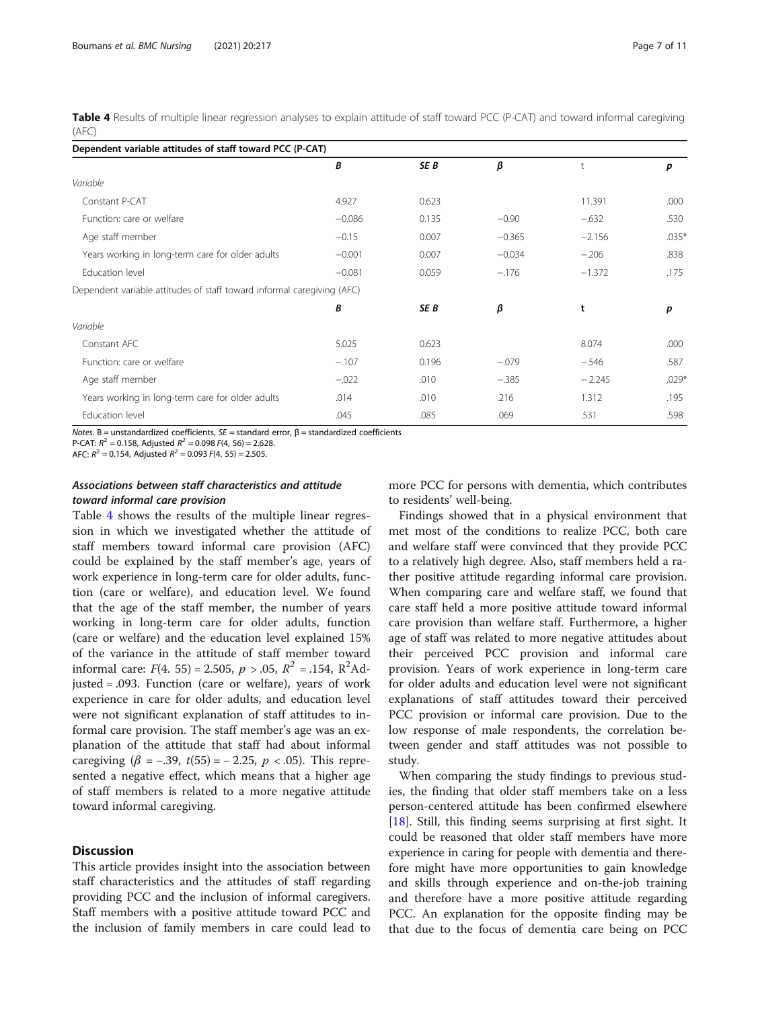<span id="page-6-0"></span>Table 4 Results of multiple linear regression analyses to explain attitude of staff toward PCC (P-CAT) and toward informal caregiving (AFC)

| Dependent variable attitudes of staff toward PCC (P-CAT)               |          |       |          |          |         |  |
|------------------------------------------------------------------------|----------|-------|----------|----------|---------|--|
|                                                                        | B        | SE B  | β        | t        | p       |  |
| Variable                                                               |          |       |          |          |         |  |
| Constant P-CAT                                                         | 4.927    | 0.623 |          | 11.391   | .000    |  |
| Function: care or welfare                                              | $-0.086$ | 0.135 | $-0.90$  | $-.632$  | .530    |  |
| Age staff member                                                       | $-0.15$  | 0.007 | $-0.365$ | $-2.156$ | $.035*$ |  |
| Years working in long-term care for older adults                       | $-0.001$ | 0.007 | $-0.034$ | $-.206$  | .838    |  |
| Education level                                                        | $-0.081$ | 0.059 | $-.176$  | $-1.372$ | .175    |  |
| Dependent variable attitudes of staff toward informal caregiving (AFC) |          |       |          |          |         |  |
|                                                                        | B        | SE B  | β        | t        | p       |  |
| Variable                                                               |          |       |          |          |         |  |
| Constant AFC                                                           | 5.025    | 0.623 |          | 8.074    | .000    |  |
| Function: care or welfare                                              | $-.107$  | 0.196 | $-.079$  | $-.546$  | .587    |  |
| Age staff member                                                       | $-.022$  | .010  | $-.385$  | $-2.245$ | $.029*$ |  |
| Years working in long-term care for older adults                       | .014     | .010  | .216     | 1.312    | .195    |  |
| Education level                                                        | .045     | .085  | .069     | .531     | .598    |  |

Notes. B = unstandardized coefficients, SE = standard error,  $β$  = standardized coefficients

P-CAT:  $R^2 = 0.158$ , Adjusted  $R^2 = 0.098$  F(4, 56) = 2.628.

AFC:  $R^2 = 0.154$ , Adjusted  $R^2 = 0.093$  F(4. 55) = 2.505.

#### Associations between staff characteristics and attitude toward informal care provision

Table 4 shows the results of the multiple linear regression in which we investigated whether the attitude of staff members toward informal care provision (AFC) could be explained by the staff member's age, years of work experience in long-term care for older adults, function (care or welfare), and education level. We found that the age of the staff member, the number of years working in long-term care for older adults, function (care or welfare) and the education level explained 15% of the variance in the attitude of staff member toward informal care:  $F(4. 55) = 2.505$ ,  $p > .05$ ,  $R^2 = .154$ ,  $R^2$ Adjusted = .093. Function (care or welfare), years of work experience in care for older adults, and education level were not significant explanation of staff attitudes to informal care provision. The staff member's age was an explanation of the attitude that staff had about informal caregiving  $(\beta = -.39, t(55) = -2.25, p < .05)$ . This represented a negative effect, which means that a higher age of staff members is related to a more negative attitude toward informal caregiving.

#### **Discussion**

This article provides insight into the association between staff characteristics and the attitudes of staff regarding providing PCC and the inclusion of informal caregivers. Staff members with a positive attitude toward PCC and the inclusion of family members in care could lead to

more PCC for persons with dementia, which contributes to residents' well-being.

Findings showed that in a physical environment that met most of the conditions to realize PCC, both care and welfare staff were convinced that they provide PCC to a relatively high degree. Also, staff members held a rather positive attitude regarding informal care provision. When comparing care and welfare staff, we found that care staff held a more positive attitude toward informal care provision than welfare staff. Furthermore, a higher age of staff was related to more negative attitudes about their perceived PCC provision and informal care provision. Years of work experience in long-term care for older adults and education level were not significant explanations of staff attitudes toward their perceived PCC provision or informal care provision. Due to the low response of male respondents, the correlation between gender and staff attitudes was not possible to study.

When comparing the study findings to previous studies, the finding that older staff members take on a less person-centered attitude has been confirmed elsewhere [[18\]](#page-9-0). Still, this finding seems surprising at first sight. It could be reasoned that older staff members have more experience in caring for people with dementia and therefore might have more opportunities to gain knowledge and skills through experience and on-the-job training and therefore have a more positive attitude regarding PCC. An explanation for the opposite finding may be that due to the focus of dementia care being on PCC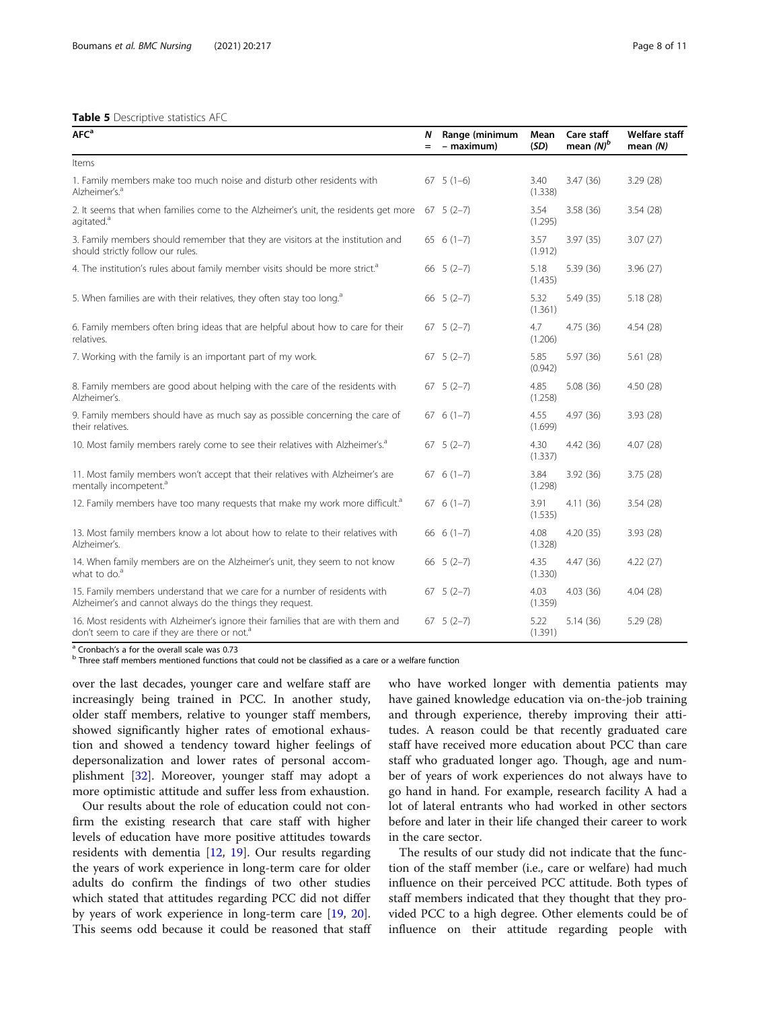#### <span id="page-7-0"></span>Table 5 Descriptive statistics AFC

| AFC <sup>a</sup>                                                                                                                              | N<br>$=$ | Range (minimum<br>- maximum) | Mean<br>(SD)    | Care staff<br>mean $(N)^b$ | Welfare staff<br>mean (N) |
|-----------------------------------------------------------------------------------------------------------------------------------------------|----------|------------------------------|-----------------|----------------------------|---------------------------|
| Items                                                                                                                                         |          |                              |                 |                            |                           |
| 1. Family members make too much noise and disturb other residents with<br>Alzheimer's. <sup>a</sup>                                           |          | $67 \quad 5(1-6)$            | 3.40<br>(1.338) | 3.47(36)                   | 3.29(28)                  |
| 2. It seems that when families come to the Alzheimer's unit, the residents get more<br>agitated. <sup>a</sup>                                 |          | $67 \quad 5(2-7)$            | 3.54<br>(1.295) | 3.58(36)                   | 3.54(28)                  |
| 3. Family members should remember that they are visitors at the institution and<br>should strictly follow our rules.                          |          | $65 \quad 6 \quad (1-7)$     | 3.57<br>(1.912) | 3.97(35)                   | 3.07(27)                  |
| 4. The institution's rules about family member visits should be more strict. <sup>a</sup>                                                     |          | $66 \quad 5(2-7)$            | 5.18<br>(1.435) | 5.39(36)                   | 3.96(27)                  |
| 5. When families are with their relatives, they often stay too long. <sup>a</sup>                                                             |          | $66 \quad 5(2-7)$            | 5.32<br>(1.361) | 5.49 (35)                  | 5.18(28)                  |
| 6. Family members often bring ideas that are helpful about how to care for their<br>relatives.                                                |          | $67 \quad 5(2-7)$            | 4.7<br>(1.206)  | 4.75(36)                   | 4.54(28)                  |
| 7. Working with the family is an important part of my work.                                                                                   |          | $67$ $5$ $(2-7)$             | 5.85<br>(0.942) | 5.97 (36)                  | 5.61(28)                  |
| 8. Family members are good about helping with the care of the residents with<br>Alzheimer's.                                                  |          | $67 \quad 5(2-7)$            | 4.85<br>(1.258) | 5.08(36)                   | 4.50(28)                  |
| 9. Family members should have as much say as possible concerning the care of<br>their relatives.                                              |          | $67$ $6(1-7)$                | 4.55<br>(1.699) | 4.97(36)                   | 3.93(28)                  |
| 10. Most family members rarely come to see their relatives with Alzheimer's. <sup>a</sup>                                                     |          | $67 \quad 5(2-7)$            | 4.30<br>(1.337) | 4.42(36)                   | 4.07(28)                  |
| 11. Most family members won't accept that their relatives with Alzheimer's are<br>mentally incompetent. <sup>a</sup>                          |          | $676(1-7)$                   | 3.84<br>(1.298) | 3.92(36)                   | 3.75(28)                  |
| 12. Family members have too many requests that make my work more difficult. <sup>a</sup>                                                      |          | $676(1-7)$                   | 3.91<br>(1.535) | 4.11(36)                   | 3.54(28)                  |
| 13. Most family members know a lot about how to relate to their relatives with<br>Alzheimer's.                                                |          | $66 \quad 6 \quad (1-7)$     | 4.08<br>(1.328) | 4.20(35)                   | 3.93(28)                  |
| 14. When family members are on the Alzheimer's unit, they seem to not know<br>what to do. <sup>a</sup>                                        |          | $66 \quad 5(2-7)$            | 4.35<br>(1.330) | 4.47(36)                   | 4.22(27)                  |
| 15. Family members understand that we care for a number of residents with<br>Alzheimer's and cannot always do the things they request.        |          | $67 \quad 5(2-7)$            | 4.03<br>(1.359) | 4.03(36)                   | 4.04(28)                  |
| 16. Most residents with Alzheimer's ignore their families that are with them and<br>don't seem to care if they are there or not. <sup>a</sup> |          | $67$ $5(2-7)$                | 5.22<br>(1.391) | 5.14(36)                   | 5.29 (28)                 |

<sup>a</sup> Cronbach's a for the overall scale was 0.73<br><sup>b</sup> Three staff members mentioned functions that could not be classified as a care or a welfare function

over the last decades, younger care and welfare staff are increasingly being trained in PCC. In another study, older staff members, relative to younger staff members, showed significantly higher rates of emotional exhaustion and showed a tendency toward higher feelings of depersonalization and lower rates of personal accomplishment [[32\]](#page-10-0). Moreover, younger staff may adopt a more optimistic attitude and suffer less from exhaustion.

Our results about the role of education could not confirm the existing research that care staff with higher levels of education have more positive attitudes towards residents with dementia [[12](#page-9-0), [19](#page-9-0)]. Our results regarding the years of work experience in long-term care for older adults do confirm the findings of two other studies which stated that attitudes regarding PCC did not differ by years of work experience in long-term care [\[19](#page-9-0), [20](#page-9-0)]. This seems odd because it could be reasoned that staff

who have worked longer with dementia patients may have gained knowledge education via on-the-job training and through experience, thereby improving their attitudes. A reason could be that recently graduated care staff have received more education about PCC than care staff who graduated longer ago. Though, age and number of years of work experiences do not always have to go hand in hand. For example, research facility A had a lot of lateral entrants who had worked in other sectors before and later in their life changed their career to work in the care sector.

The results of our study did not indicate that the function of the staff member (i.e., care or welfare) had much influence on their perceived PCC attitude. Both types of staff members indicated that they thought that they provided PCC to a high degree. Other elements could be of influence on their attitude regarding people with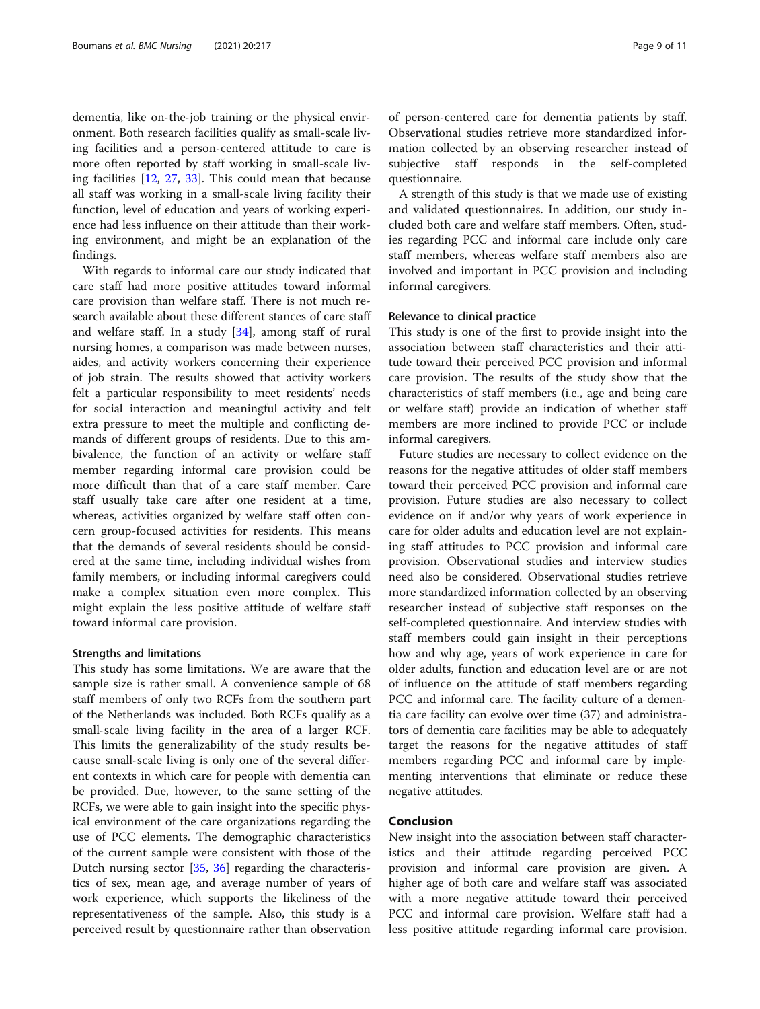dementia, like on-the-job training or the physical environment. Both research facilities qualify as small-scale living facilities and a person-centered attitude to care is more often reported by staff working in small-scale living facilities [\[12](#page-9-0), [27](#page-10-0), [33\]](#page-10-0). This could mean that because all staff was working in a small-scale living facility their function, level of education and years of working experience had less influence on their attitude than their working environment, and might be an explanation of the findings.

With regards to informal care our study indicated that care staff had more positive attitudes toward informal care provision than welfare staff. There is not much research available about these different stances of care staff and welfare staff. In a study [\[34\]](#page-10-0), among staff of rural nursing homes, a comparison was made between nurses, aides, and activity workers concerning their experience of job strain. The results showed that activity workers felt a particular responsibility to meet residents' needs for social interaction and meaningful activity and felt extra pressure to meet the multiple and conflicting demands of different groups of residents. Due to this ambivalence, the function of an activity or welfare staff member regarding informal care provision could be more difficult than that of a care staff member. Care staff usually take care after one resident at a time, whereas, activities organized by welfare staff often concern group-focused activities for residents. This means that the demands of several residents should be considered at the same time, including individual wishes from family members, or including informal caregivers could make a complex situation even more complex. This might explain the less positive attitude of welfare staff toward informal care provision.

#### Strengths and limitations

This study has some limitations. We are aware that the sample size is rather small. A convenience sample of 68 staff members of only two RCFs from the southern part of the Netherlands was included. Both RCFs qualify as a small-scale living facility in the area of a larger RCF. This limits the generalizability of the study results because small-scale living is only one of the several different contexts in which care for people with dementia can be provided. Due, however, to the same setting of the RCFs, we were able to gain insight into the specific physical environment of the care organizations regarding the use of PCC elements. The demographic characteristics of the current sample were consistent with those of the Dutch nursing sector [[35](#page-10-0), [36](#page-10-0)] regarding the characteristics of sex, mean age, and average number of years of work experience, which supports the likeliness of the representativeness of the sample. Also, this study is a perceived result by questionnaire rather than observation of person-centered care for dementia patients by staff. Observational studies retrieve more standardized information collected by an observing researcher instead of subjective staff responds in the self-completed questionnaire.

A strength of this study is that we made use of existing and validated questionnaires. In addition, our study included both care and welfare staff members. Often, studies regarding PCC and informal care include only care staff members, whereas welfare staff members also are involved and important in PCC provision and including informal caregivers.

#### Relevance to clinical practice

This study is one of the first to provide insight into the association between staff characteristics and their attitude toward their perceived PCC provision and informal care provision. The results of the study show that the characteristics of staff members (i.e., age and being care or welfare staff) provide an indication of whether staff members are more inclined to provide PCC or include informal caregivers.

Future studies are necessary to collect evidence on the reasons for the negative attitudes of older staff members toward their perceived PCC provision and informal care provision. Future studies are also necessary to collect evidence on if and/or why years of work experience in care for older adults and education level are not explaining staff attitudes to PCC provision and informal care provision. Observational studies and interview studies need also be considered. Observational studies retrieve more standardized information collected by an observing researcher instead of subjective staff responses on the self-completed questionnaire. And interview studies with staff members could gain insight in their perceptions how and why age, years of work experience in care for older adults, function and education level are or are not of influence on the attitude of staff members regarding PCC and informal care. The facility culture of a dementia care facility can evolve over time (37) and administrators of dementia care facilities may be able to adequately target the reasons for the negative attitudes of staff members regarding PCC and informal care by implementing interventions that eliminate or reduce these negative attitudes.

#### Conclusion

New insight into the association between staff characteristics and their attitude regarding perceived PCC provision and informal care provision are given. A higher age of both care and welfare staff was associated with a more negative attitude toward their perceived PCC and informal care provision. Welfare staff had a less positive attitude regarding informal care provision.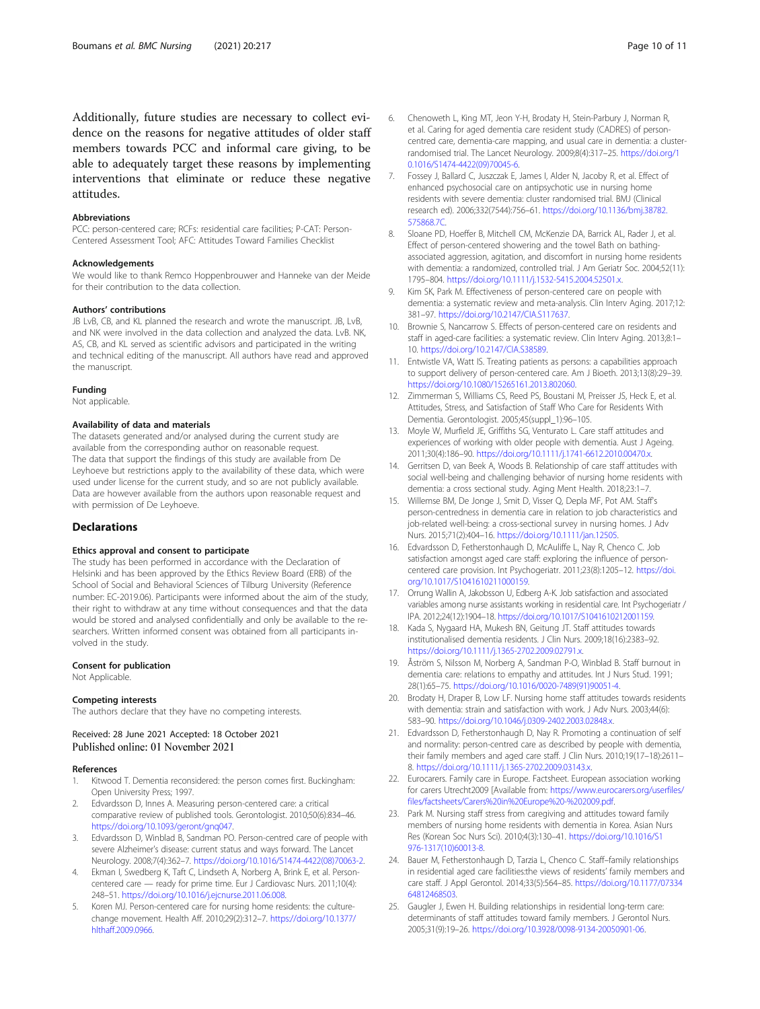<span id="page-9-0"></span>Additionally, future studies are necessary to collect evidence on the reasons for negative attitudes of older staff members towards PCC and informal care giving, to be able to adequately target these reasons by implementing interventions that eliminate or reduce these negative attitudes.

#### Abbreviations

PCC: person-centered care; RCFs: residential care facilities; P-CAT: Person-Centered Assessment Tool; AFC: Attitudes Toward Families Checklist

#### Acknowledgements

We would like to thank Remco Hoppenbrouwer and Hanneke van der Meide for their contribution to the data collection.

#### Authors' contributions

JB LvB. CB, and KL planned the research and wrote the manuscript. JB, LvB, and NK were involved in the data collection and analyzed the data. LvB. NK, AS, CB, and KL served as scientific advisors and participated in the writing and technical editing of the manuscript. All authors have read and approved the manuscript.

#### Funding

Not applicable.

#### Availability of data and materials

The datasets generated and/or analysed during the current study are available from the corresponding author on reasonable request. The data that support the findings of this study are available from De Leyhoeve but restrictions apply to the availability of these data, which were used under license for the current study, and so are not publicly available. Data are however available from the authors upon reasonable request and with permission of De Leyhoeve.

#### **Declarations**

#### Ethics approval and consent to participate

The study has been performed in accordance with the Declaration of Helsinki and has been approved by the Ethics Review Board (ERB) of the School of Social and Behavioral Sciences of Tilburg University (Reference number: EC-2019.06). Participants were informed about the aim of the study, their right to withdraw at any time without consequences and that the data would be stored and analysed confidentially and only be available to the researchers. Written informed consent was obtained from all participants involved in the study.

#### Consent for publication

Not Applicable.

#### Competing interests

The authors declare that they have no competing interests.

#### Received: 28 June 2021 Accepted: 18 October 2021 Published online: 01 November 2021

#### References

- 1. Kitwood T. Dementia reconsidered: the person comes first. Buckingham: Open University Press; 1997.
- Edvardsson D, Innes A. Measuring person-centered care: a critical comparative review of published tools. Gerontologist. 2010;50(6):834–46. <https://doi.org/10.1093/geront/gnq047>.
- 3. Edvardsson D, Winblad B, Sandman PO. Person-centred care of people with severe Alzheimer's disease: current status and ways forward. The Lancet Neurology. 2008;7(4):362–7. [https://doi.org/10.1016/S1474-4422\(08\)70063-2.](https://doi.org/10.1016/S1474-4422(08)70063-2)
- 4. Ekman I, Swedberg K, Taft C, Lindseth A, Norberg A, Brink E, et al. Personcentered care — ready for prime time. Eur J Cardiovasc Nurs. 2011;10(4): 248–51. <https://doi.org/10.1016/j.ejcnurse.2011.06.008>.
- 5. Koren MJ. Person-centered care for nursing home residents: the culturechange movement. Health Aff. 2010;29(2):312–7. [https://doi.org/10.1377/](https://doi.org/10.1377/hlthaff.2009.0966) [hlthaff.2009.0966](https://doi.org/10.1377/hlthaff.2009.0966).
- 7. Fossey J, Ballard C, Juszczak E, James I, Alder N, Jacoby R, et al. Effect of enhanced psychosocial care on antipsychotic use in nursing home residents with severe dementia: cluster randomised trial. BMJ (Clinical research ed). 2006;332(7544):756–61. [https://doi.org/10.1136/bmj.38782.](https://doi.org/10.1136/bmj.38782.575868.7C) [575868.7C.](https://doi.org/10.1136/bmj.38782.575868.7C)
- 8. Sloane PD, Hoeffer B, Mitchell CM, McKenzie DA, Barrick AL, Rader J, et al. Effect of person-centered showering and the towel Bath on bathingassociated aggression, agitation, and discomfort in nursing home residents with dementia: a randomized, controlled trial. J Am Geriatr Soc. 2004;52(11): 1795–804. <https://doi.org/10.1111/j.1532-5415.2004.52501.x>.
- 9. Kim SK, Park M. Effectiveness of person-centered care on people with dementia: a systematic review and meta-analysis. Clin Interv Aging. 2017;12: 381–97. <https://doi.org/10.2147/CIA.S117637>.
- 10. Brownie S, Nancarrow S. Effects of person-centered care on residents and staff in aged-care facilities: a systematic review. Clin Interv Aging. 2013;8:1– 10. <https://doi.org/10.2147/CIA.S38589>.
- 11. Entwistle VA, Watt IS. Treating patients as persons: a capabilities approach to support delivery of person-centered care. Am J Bioeth. 2013;13(8):29–39. [https://doi.org/10.1080/15265161.2013.802060.](https://doi.org/10.1080/15265161.2013.802060)
- 12. Zimmerman S, Williams CS, Reed PS, Boustani M, Preisser JS, Heck E, et al. Attitudes, Stress, and Satisfaction of Staff Who Care for Residents With Dementia. Gerontologist. 2005;45(suppl\_1):96–105.
- 13. Moyle W, Murfield JE, Griffiths SG, Venturato L. Care staff attitudes and experiences of working with older people with dementia. Aust J Ageing. 2011;30(4):186–90. <https://doi.org/10.1111/j.1741-6612.2010.00470.x>.
- 14. Gerritsen D, van Beek A, Woods B. Relationship of care staff attitudes with social well-being and challenging behavior of nursing home residents with dementia: a cross sectional study. Aging Ment Health. 2018;23:1–7.
- 15. Willemse BM, De Jonge J, Smit D, Visser Q, Depla MF, Pot AM. Staff's person-centredness in dementia care in relation to job characteristics and job-related well-being: a cross-sectional survey in nursing homes. J Adv Nurs. 2015;71(2):404–16. [https://doi.org/10.1111/jan.12505.](https://doi.org/10.1111/jan.12505)
- 16. Edvardsson D, Fetherstonhaugh D, McAuliffe L, Nay R, Chenco C. Job satisfaction amongst aged care staff: exploring the influence of personcentered care provision. Int Psychogeriatr. 2011;23(8):1205–12. [https://doi.](https://doi.org/10.1017/S1041610211000159) [org/10.1017/S1041610211000159.](https://doi.org/10.1017/S1041610211000159)
- 17. Orrung Wallin A, Jakobsson U, Edberg A-K. Job satisfaction and associated variables among nurse assistants working in residential care. Int Psychogeriatr / IPA. 2012;24(12):1904–18. [https://doi.org/10.1017/S1041610212001159.](https://doi.org/10.1017/S1041610212001159)
- 18. Kada S, Nygaard HA, Mukesh BN, Geitung JT. Staff attitudes towards institutionalised dementia residents. J Clin Nurs. 2009;18(16):2383–92. <https://doi.org/10.1111/j.1365-2702.2009.02791.x>.
- 19. Åström S, Nilsson M, Norberg A, Sandman P-O, Winblad B. Staff burnout in dementia care: relations to empathy and attitudes. Int J Nurs Stud. 1991; 28(1):65–75. [https://doi.org/10.1016/0020-7489\(91\)90051-4](https://doi.org/10.1016/0020-7489(91)90051-4).
- 20. Brodaty H, Draper B, Low LF. Nursing home staff attitudes towards residents with dementia: strain and satisfaction with work. J Adv Nurs. 2003;44(6): 583–90. <https://doi.org/10.1046/j.0309-2402.2003.02848.x>.
- 21. Edvardsson D, Fetherstonhaugh D, Nay R. Promoting a continuation of self and normality: person-centred care as described by people with dementia, their family members and aged care staff. J Clin Nurs. 2010;19(17–18):2611– 8. <https://doi.org/10.1111/j.1365-2702.2009.03143.x>.
- 22. Eurocarers. Family care in Europe. Factsheet. European association working for carers Utrecht2009 [Available from: [https://www.eurocarers.org/userfiles/](https://www.eurocarers.org/userfiles/files/factsheets/Carers%20in%20Europe%20-%202009.pdf) [files/factsheets/Carers%20in%20Europe%20-%202009.pdf.](https://www.eurocarers.org/userfiles/files/factsheets/Carers%20in%20Europe%20-%202009.pdf)
- 23. Park M. Nursing staff stress from caregiving and attitudes toward family members of nursing home residents with dementia in Korea. Asian Nurs Res (Korean Soc Nurs Sci). 2010;4(3):130–41. [https://doi.org/10.1016/S1](https://doi.org/10.1016/S1976-1317(10)60013-8) [976-1317\(10\)60013-8.](https://doi.org/10.1016/S1976-1317(10)60013-8)
- 24. Bauer M, Fetherstonhaugh D, Tarzia L, Chenco C. Staff-family relationships in residential aged care facilities:the views of residents' family members and care staff. J Appl Gerontol. 2014;33(5):564–85. [https://doi.org/10.1177/07334](https://doi.org/10.1177/0733464812468503) [64812468503](https://doi.org/10.1177/0733464812468503).
- 25. Gaugler J, Ewen H. Building relationships in residential long-term care: determinants of staff attitudes toward family members. J Gerontol Nurs. 2005;31(9):19–26. <https://doi.org/10.3928/0098-9134-20050901-06>.